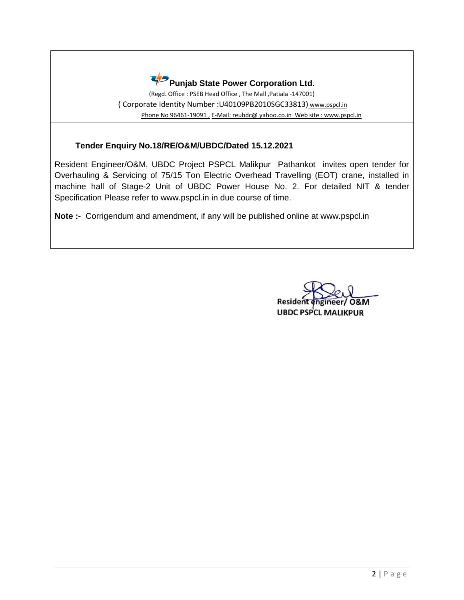

(Regd. Office : PSEB Head Office , The Mall ,Patiala -147001) ( Corporate Identity Number :U40109PB2010SGC33813) www.pspcl.in Phone No 96461-19091, E-Mail: reubdc@ yahoo.co.in Web site : www.pspcl.in

## **Tender Enquiry No.18/RE/O&M/UBDC/Dated 15.12.2021**

Resident Engineer/O&M, UBDC Project PSPCL Malikpur Pathankot invites open tender for Overhauling & Servicing of 75/15 Ton Electric Overhead Travelling (EOT) crane, installed in machine hall of Stage-2 Unit of UBDC Power House No. 2. For detailed NIT & tender Specification Please refer to www.pspcl.in in due course of time.

**Note :-** Corrigendum and amendment, if any will be published online at www.pspcl.in

Residen eer/O&M **UBDC PSPCL MALIKPUR**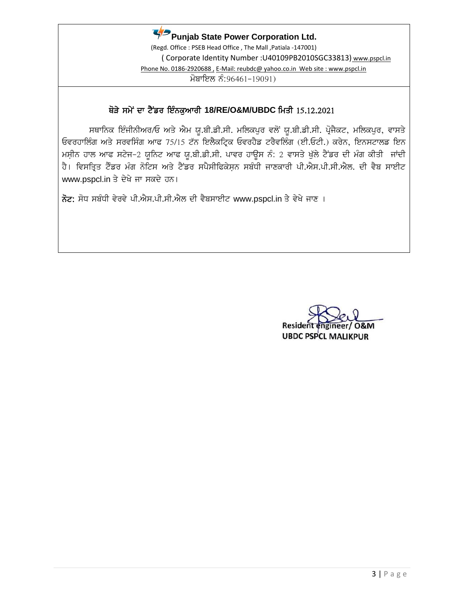

(Regd. Office : PSEB Head Office , The Mall ,Patiala -147001) ( Corporate Identity Number :U40109PB2010SGC33813) www.pspcl.in Phone No. 0186-2920688, E-Mail: reubdc@ yahoo.co.in Web site : www.pspcl.in  $\overline{H}$ ਬਾਇਲ ਨੰ:96461-19091)

# ਥੋੜੇ ਸਮੇਂ ਦਾ ਟੈਂਡਰ ਇੰਨਕੁਆਰੀ 18/RE/O&M/UBDC ਮਿਤੀ 15.12.2021

ਸਥਾਨਿਕ ਇੰਜੀਨੀਅਰ/ਓ ਅਤੇ ਐਮ ਯੁ.ਬੀ.ਡੀ.ਸੀ. ਮਲਿਕਪੁਰ ਵਲੋਂ ਯੁ.ਬੀ.ਡੀ.ਸੀ. ਪ੍ਰੋਜੈਕਟ, ਮਲਿਕਪੁਰ, ਵਾਸਤੇ ਓਵਰਹਾਲਿੰਗ ਅਤੇ ਸਰਵਸਿੰਗ ਆਫ 75/15 ਟੱਨ ਇਲੈਕਟ੍ਰਿਕ ਓਵਰਹੈਡ ਟਰੈਵਲਿੰਗ (ਈ.ਓਟੀ.) ਕਰੇਨ, ਇਨਸਟਾਲਡ ਇਨ ਮਸ਼ੀਨ ਹਾਲ ਆਫ ਸਟੇਜ-2 ਯੁਨਿਟ ਆਫ ਯੁ.ਬੀ.ਡੀ.ਸੀ. ਪਾਵਰ ਹਾਊਸ ਨੰ: 2 ਵਾਸਤੇ ਖੁੱਲੇ ਟੈਂਡਰ ਦੀ ਮੰਗ ਕੀਤੀ ਜਾਂਦੀ ਹੈ। ਵਿਸਤ੍ਰਿਤ ਟੈਂਡਰ ਮੰਗ ਨੋਟਿਸ ਅਤੇ ਟੈਂਡਰ ਸਪੈਸੀਫਿਕੇਸ਼ਨ ਸਬੰਧੀ ਜਾਣਕਾਰੀ ਪੀ.ਐਸ.ਪੀ.ਸੀ.ਐਲ. ਦੀ ਵੈਬ ਸਾਈਟ www.pspcl.in ਤੇ ਦੇਖੇ ਜਾ ਸਕਦੇ ਹਨ।

ਨੋਟ: ਸੋਧ ਸਬੰਧੀ ਵੇਰਵੇ ਪੀ.ਐਸ.ਪੀ.ਸੀ.ਐਲ ਦੀ ਵੈਬਸਾਈਟ www.pspcl.in ਤੇ ਵੇਖੇ ਜਾਣ ।

Resider **UBDC PSPCL MALIKPUR**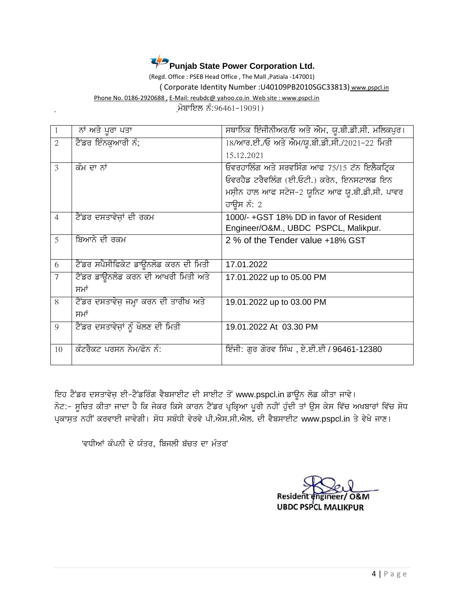

(Regd. Office : PSEB Head Office , The Mall ,Patiala -147001)

( Corporate Identity Number :U40109PB2010SGC33813) www.pspcl.in

Phone No. 0186-2920688 , E-Mail: reubdc@ yahoo.co.in Web site : www.pspcl.in

<u>ਮੋਬਾਇਲ ਨੰ:96461-19091)</u>

|                | ਨਾਂ ਅਤੇ ਪੂਰਾ ਪਤਾ                      | ਸਥਾਨਿਕ ਇੰਜੀਨੀਅਰ/ਓ ਅਤੇ ਐਮ, ਯੂ.ਬੀ.ਡੀ.ਸੀ. ਮਲਿਕਪੁਰ। |
|----------------|---------------------------------------|-------------------------------------------------|
| $\overline{2}$ | ਟੈਂਡਰ ਇੰਨਕੁਆਰੀ ਨੰ;                    | 18/ਆਰ.ਈ./ਓ ਅਤੇ ਐਮ/ਯੂ.ਬੀ.ਡੀ.ਸੀ./2021-22 ਮਿਤੀ     |
|                |                                       | 15.12.2021                                      |
| 3              | ਕੰਮ ਦਾ ਨਾਂ                            | ਓਵਰਹਾਲਿੰਗ ਅਤੇ ਸਰਵਸਿੰਗ ਆਫ 75/15 ਟੱਨ ਇਲੈਕਟ੍ਰਿਕ    |
|                |                                       | ਓਵਰਹੈਡ ਟਰੈਵਲਿੰਗ (ਈ.ਓਟੀ.) ਕਰੇਨ, ਇਨਸਟਾਲਡ ਇਨ       |
|                |                                       | ਮਸ਼ੀਨ ਹਾਲ ਆਫ ਸਟੇਜ-2 ਯੁਨਿਟ ਆਫ ਯੁ.ਬੀ.ਡੀ.ਸੀ. ਪਾਵਰ  |
|                |                                       | ਹਾਉਸ ਨੰ: 2                                      |
| $\overline{4}$ | ਟੈਂਡਰ ਦਸਤਾਵੇਜ਼ਾਂ ਦੀ ਰਕਮ               | 1000/-+GST 18% DD in favor of Resident          |
|                |                                       | Engineer/O&M., UBDC PSPCL, Malikpur.            |
| 5              | ਬਿਆਨੇ ਦੀ ਰਕਮ                          | 2 % of the Tender value +18% GST                |
|                |                                       |                                                 |
| 6              | ਟੈਂਡਰ ਸਪੈਸੀਫਿਕੇਟ ਡਾਊਨਲੋਡ ਕਰਨ ਦੀ ਮਿਤੀ  | 17.01.2022                                      |
| $\overline{7}$ | ਟੈਂਡਰ ਡਾਊਨਲੋਡ ਕਰਨ ਦੀ ਆਖਰੀ ਮਿਤੀ ਅਤੇ    | 17.01.2022 up to 05.00 PM                       |
|                | ਸਮਾਂ                                  |                                                 |
| 8              | ਟੈਂਡਰ ਦਸਤਾਵੇਜ਼ ਜਮ੍ਹਾ ਕਰਨ ਦੀ ਤਾਰੀਖ ਅਤੇ | 19.01.2022 up to 03.00 PM                       |
|                | ਸਮਾਂ                                  |                                                 |
| 9              | ਟੈਂਡਰ ਦਸਤਾਵੇਜ਼ਾਂ ਨੂੰ ਖੋਲਣ ਦੀ ਮਿਤੀ     | 19.01.2022 At 03.30 PM                          |
|                |                                       |                                                 |
| 10             | ਕੰਟਰੈਕਟ ਪਰਸਨ ਨੇਮ/ਫੋਨ ਨੰ:              | ਇੰਜੀ: ਗੁਰ ਗੋਰਵ ਸਿੰਘ , ਏ.ਈ.ਈ / 96461-12380       |
|                |                                       |                                                 |

ਇਹ ਟੈਂਡਰ ਦਸਤਾਵੇਜ਼ ਈ-ਟੈਂਡਰਿੰਗ ਵੈਬਸਾਈਟ ਦੀ ਸਾਈਟ ਤੋਂ www.pspcl.in ਡਾਊਨ ਲੋਡ ਕੀਤਾ ਜਾਵੇ। ਨੋਟ:- ਸੂਚਿਤ ਕੀਤਾ ਜਾਦਾ ਹੈ ਕਿ ਜੇਕਰ ਕਿਸੇ ਕਾਰਨ ਟੈਂਡਰ ਪ੍ਰਕ੍ਰਿਆ ਪੂਰੀ ਨਹੀਂ ਹੁੰਦੀ ਤਾਂ ਉਸ ਕੇਸ ਵਿੱਚ ਅਖਬਾਰਾਂ ਵਿੱਚ ਸੋਧ ਪ੍ਰਕਾਸਤ ਨਹੀਂ ਕਰਵਾਈ ਜਾਵੇਗੀ। ਸੋਧ ਸਬੰਧੀ ਵੇਰਵੇ ਪੀ.ਐਸ.ਸੀ.ਐਲ. ਦੀ ਵੈਬਸਾਈਟ www.pspcl.in ਤੇ ਵੇਖੇ ਜਾਣ।

'ਵਧੀਆਂ ਕੰਪਨੀ ਦੇ ਯੰਤਰ, ਬਿਜਲੀ ਬੱਚਤ ਦਾ ਮੰਤਰ'

ngineer/ O&M Resident **UBDC PSPCL MALIKPUR**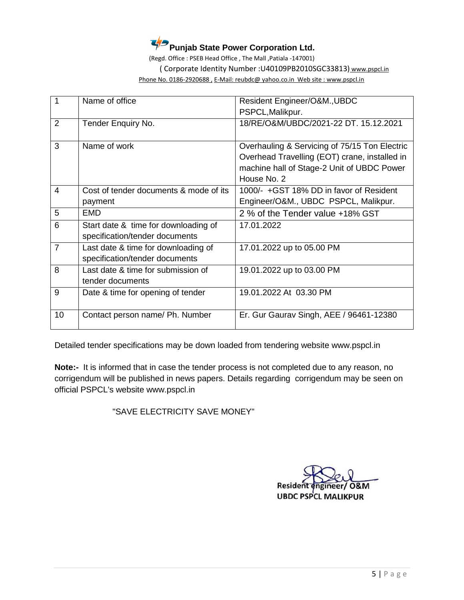

(Regd. Office : PSEB Head Office , The Mall ,Patiala -147001)

( Corporate Identity Number :U40109PB2010SGC33813) www.pspcl.in

Phone No. 0186-2920688 , E-Mail: reubdc@ yahoo.co.in Web site : www.pspcl.in

| 1              | Name of office                         | Resident Engineer/O&M., UBDC                  |
|----------------|----------------------------------------|-----------------------------------------------|
|                |                                        | PSPCL, Malikpur.                              |
| 2              | Tender Enquiry No.                     | 18/RE/O&M/UBDC/2021-22 DT, 15,12,2021         |
|                |                                        |                                               |
| 3              | Name of work                           | Overhauling & Servicing of 75/15 Ton Electric |
|                |                                        | Overhead Travelling (EOT) crane, installed in |
|                |                                        | machine hall of Stage-2 Unit of UBDC Power    |
|                |                                        | House No. 2                                   |
| 4              | Cost of tender documents & mode of its | 1000/- +GST 18% DD in favor of Resident       |
|                | payment                                | Engineer/O&M., UBDC PSPCL, Malikpur.          |
| 5              | EMD.                                   | 2 % of the Tender value +18% GST              |
| 6              | Start date & time for downloading of   | 17.01.2022                                    |
|                | specification/tender documents         |                                               |
| $\overline{7}$ | Last date & time for downloading of    | 17.01.2022 up to 05.00 PM                     |
|                | specification/tender documents         |                                               |
| 8              | Last date & time for submission of     | 19.01.2022 up to 03.00 PM                     |
|                | tender documents                       |                                               |
| 9              | Date & time for opening of tender      | 19.01.2022 At 03.30 PM                        |
|                |                                        |                                               |
| 10             | Contact person name/ Ph. Number        | Er. Gur Gaurav Singh, AEE / 96461-12380       |
|                |                                        |                                               |

Detailed tender specifications may be down loaded from tendering website www.pspcl.in

**Note:-** It is informed that in case the tender process is not completed due to any reason, no corrigendum will be published in news papers. Details regarding corrigendum may be seen on official PSPCL's website www.pspcl.in

"SAVE ELECTRICITY SAVE MONEY"

Residen **O&M UBDC PSPCL MALIKPUR**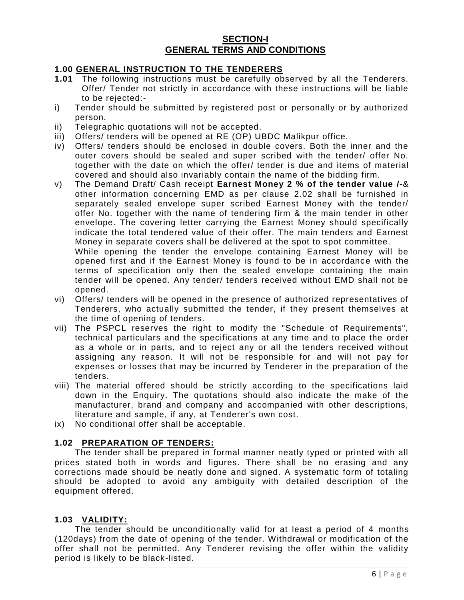### **SECTION-I GENERAL TERMS AND CONDITIONS**

#### **1.00 GENERAL INSTRUCTION TO THE TENDERERS**

- **1.01** The following instructions must be carefully observed by all the Tenderers. Offer/ Tender not strictly in accordance with these instructions will be liable to be rejected:-
- i) Tender should be submitted by registered post or personally or by authorized person.
- ii) Telegraphic quotations will not be accepted.
- iii) Offers/ tenders will be opened at RE (OP) UBDC Malikpur office.
- iv) Offers/ tenders should be enclosed in double covers. Both the inner and the outer covers should be sealed and super scribed with the tender/ offer No. together with the date on which the offer/ tender is due and items of material covered and should also invariably contain the name of the bidding firm.
- v) The Demand Draft/ Cash receipt **Earnest Money 2 % of the tender value /-**& other information concerning EMD as per clause 2.02 shall be furnished in separately sealed envelope super scribed Earnest Money with the tender/ offer No. together with the name of tendering firm & the main tender in other envelope. The covering letter carrying the Earnest Money should specifically indicate the total tendered value of their offer. The main tenders and Earnest Money in separate covers shall be delivered at the spot to spot committee.

While opening the tender the envelope containing Earnest Money will be opened first and if the Earnest Money is found to be in accordance with the terms of specification only then the sealed envelope containing the main tender will be opened. Any tender/ tenders received without EMD shall not be opened.

- vi) Offers/ tenders will be opened in the presence of authorized representatives of Tenderers, who actually submitted the tender, if they present themselves at the time of opening of tenders.
- vii) The PSPCL reserves the right to modify the "Schedule of Requirements", technical particulars and the specifications at any time and to place the order as a whole or in parts, and to reject any or all the tenders received without assigning any reason. It will not be responsible for and will not pay for expenses or losses that may be incurred by Tenderer in the preparation of the tenders.
- viii) The material offered should be strictly according to the specifications laid down in the Enquiry. The quotations should also indicate the make of the manufacturer, brand and company and accompanied with other descriptions, literature and sample, if any, at Tenderer's own cost.
- ix) No conditional offer shall be acceptable.

### **1.02 PREPARATION OF TENDERS:**

The tender shall be prepared in formal manner neatly typed or printed with all prices stated both in words and figures. There shall be no erasing and any corrections made should be neatly done and signed. A systematic form of totaling should be adopted to avoid any ambiguity with detailed description of the equipment offered.

#### **1.03 VALIDITY:**

The tender should be unconditionally valid for at least a period of 4 months (120days) from the date of opening of the tender. Withdrawal or modification of the offer shall not be permitted. Any Tenderer revising the offer within the validity period is likely to be black-listed.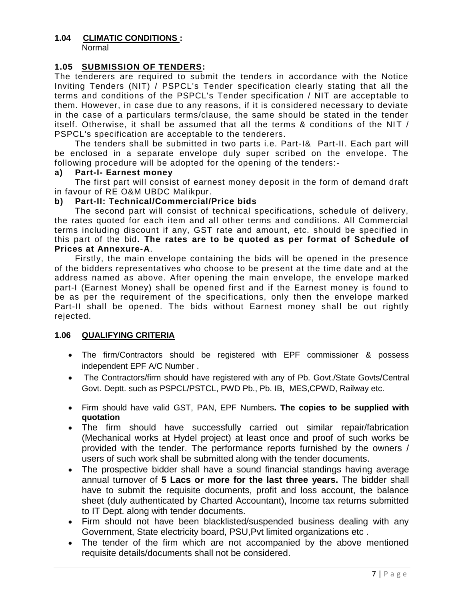## **1.04 CLIMATIC CONDITIONS :**

Normal

### **1.05 SUBMISSION OF TENDERS:**

The tenderers are required to submit the tenders in accordance with the Notice Inviting Tenders (NIT) / PSPCL's Tender specification clearly stating that all the terms and conditions of the PSPCL's Tender specification / NIT are acceptable to them. However, in case due to any reasons, if it is considered necessary to deviate in the case of a particulars terms/clause, the same should be stated in the tender itself. Otherwise, it shall be assumed that all the terms & conditions of the NIT / PSPCL's specification are acceptable to the tenderers.

The tenders shall be submitted in two parts i.e. Part-I& Part-II. Each part will be enclosed in a separate envelope duly super scribed on the envelope. The following procedure will be adopted for the opening of the tenders:-

#### **a) Part-I- Earnest money**

The first part will consist of earnest money deposit in the form of demand draft in favour of RE O&M UBDC Malikpur.

#### **b) Part-II: Technical/Commercial/Price bids**

The second part will consist of technical specifications, schedule of delivery, the rates quoted for each item and all other terms and conditions. All Commercial terms including discount if any, GST rate and amount, etc. should be specified in this part of the bid**. The rates are to be quoted as per format of Schedule of Prices at Annexure-A**.

Firstly, the main envelope containing the bids will be opened in the presence of the bidders representatives who choose to be present at the time date and at the address named as above. After opening the main envelope, the envelope marked part-I (Earnest Money) shall be opened first and if the Earnest money is found to be as per the requirement of the specifications, only then the envelope marked Part-II shall be opened. The bids without Earnest money shall be out rightly rejected.

### **1.06 QUALIFYING CRITERIA**

- The firm/Contractors should be registered with EPF commissioner & possess independent EPF A/C Number .
- The Contractors/firm should have registered with any of Pb. Govt./State Govts/Central Govt. Deptt. such as PSPCL/PSTCL, PWD Pb., Pb. IB, MES,CPWD, Railway etc.
- Firm should have valid GST, PAN, EPF Numbers**. The copies to be supplied with quotation**
- The firm should have successfully carried out similar repair/fabrication (Mechanical works at Hydel project) at least once and proof of such works be provided with the tender. The performance reports furnished by the owners / users of such work shall be submitted along with the tender documents.
- The prospective bidder shall have a sound financial standings having average annual turnover of **5 Lacs or more for the last three years.** The bidder shall have to submit the requisite documents, profit and loss account, the balance sheet (duly authenticated by Charted Accountant), Income tax returns submitted to IT Dept. along with tender documents.
- Firm should not have been blacklisted/suspended business dealing with any Government, State electricity board, PSU,Pvt limited organizations etc .
- The tender of the firm which are not accompanied by the above mentioned requisite details/documents shall not be considered.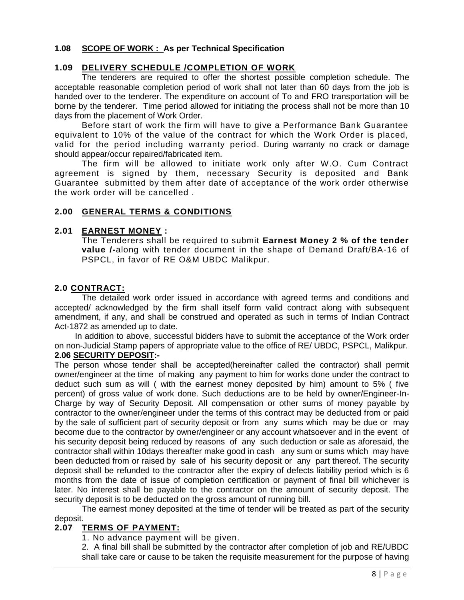#### **1.08 SCOPE OF WORK : As per Technical Specification**

### **1.09 DELIVERY SCHEDULE /COMPLETION OF WORK**

The tenderers are required to offer the shortest possible completion schedule. The acceptable reasonable completion period of work shall not later than 60 days from the job is handed over to the tenderer. The expenditure on account of To and FRO transportation will be borne by the tenderer. Time period allowed for initiating the process shall not be more than 10 days from the placement of Work Order.

Before start of work the firm will have to give a Performance Bank Guarantee equivalent to 10% of the value of the contract for which the Work Order is placed, valid for the period including warranty period. During warranty no crack or damage should appear/occur repaired/fabricated item.

The firm will be allowed to initiate work only after W.O. Cum Contract agreement is signed by them, necessary Security is deposited and Bank Guarantee submitted by them after date of acceptance of the work order otherwise the work order will be cancelled .

#### **2.00 GENERAL TERMS & CONDITIONS**

#### **2.01 EARNEST MONEY :**

The Tenderers shall be required to submit **Earnest Money 2 % of the tender value /-**along with tender document in the shape of Demand Draft/BA-16 of PSPCL, in favor of RE O&M UBDC Malikpur.

#### **2.0 CONTRACT:**

The detailed work order issued in accordance with agreed terms and conditions and accepted/ acknowledged by the firm shall itself form valid contract along with subsequent amendment, if any, and shall be construed and operated as such in terms of Indian Contract Act-1872 as amended up to date.

In addition to above, successful bidders have to submit the acceptance of the Work order on non-Judicial Stamp papers of appropriate value to the office of RE/ UBDC, PSPCL, Malikpur. **2.06 SECURITY DEPOSIT:-**

The person whose tender shall be accepted(hereinafter called the contractor) shall permit owner/engineer at the time of making any payment to him for works done under the contract to deduct such sum as will ( with the earnest money deposited by him) amount to 5% ( five percent) of gross value of work done. Such deductions are to be held by owner/Engineer-In-Charge by way of Security Deposit. All compensation or other sums of money payable by contractor to the owner/engineer under the terms of this contract may be deducted from or paid by the sale of sufficient part of security deposit or from any sums which may be due or may become due to the contractor by owner/engineer or any account whatsoever and in the event of his security deposit being reduced by reasons of any such deduction or sale as aforesaid, the contractor shall within 10days thereafter make good in cash any sum or sums which may have been deducted from or raised by sale of his security deposit or any part thereof. The security deposit shall be refunded to the contractor after the expiry of defects liability period which is 6 months from the date of issue of completion certification or payment of final bill whichever is later. No interest shall be payable to the contractor on the amount of security deposit. The security deposit is to be deducted on the gross amount of running bill.

The earnest money deposited at the time of tender will be treated as part of the security deposit.

### **2.07 TERMS OF PAYMENT:**

1. No advance payment will be given.

2. A final bill shall be submitted by the contractor after completion of job and RE/UBDC shall take care or cause to be taken the requisite measurement for the purpose of having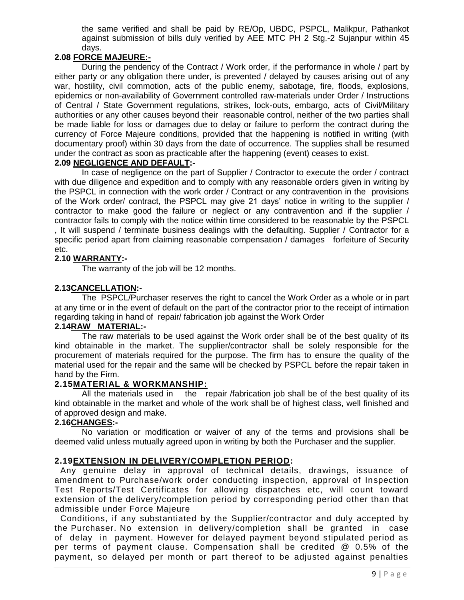the same verified and shall be paid by RE/Op, UBDC, PSPCL, Malikpur, Pathankot against submission of bills duly verified by AEE MTC PH 2 Stg.-2 Sujanpur within 45 days.

## **2.08 FORCE MAJEURE:-**

During the pendency of the Contract / Work order, if the performance in whole / part by either party or any obligation there under, is prevented / delayed by causes arising out of any war, hostility, civil commotion, acts of the public enemy, sabotage, fire, floods, explosions, epidemics or non-availability of Government controlled raw-materials under Order / Instructions of Central / State Government regulations, strikes, lock-outs, embargo, acts of Civil/Military authorities or any other causes beyond their reasonable control, neither of the two parties shall be made liable for loss or damages due to delay or failure to perform the contract during the currency of Force Majeure conditions, provided that the happening is notified in writing (with documentary proof) within 30 days from the date of occurrence. The supplies shall be resumed under the contract as soon as practicable after the happening (event) ceases to exist.

## **2.09 NEGLIGENCE AND DEFAULT:-**

In case of negligence on the part of Supplier / Contractor to execute the order / contract with due diligence and expedition and to comply with any reasonable orders given in writing by the PSPCL in connection with the work order / Contract or any contravention in the provisions of the Work order/ contract, the PSPCL may give 21 days' notice in writing to the supplier / contractor to make good the failure or neglect or any contravention and if the supplier / contractor fails to comply with the notice within time considered to be reasonable by the PSPCL , It will suspend / terminate business dealings with the defaulting. Supplier / Contractor for a specific period apart from claiming reasonable compensation / damages forfeiture of Security etc.

### **2.10 WARRANTY:-**

The warranty of the job will be 12 months.

#### **2.13CANCELLATION:-**

The PSPCL/Purchaser reserves the right to cancel the Work Order as a whole or in part at any time or in the event of default on the part of the contractor prior to the receipt of intimation regarding taking in hand of repair/ fabrication job against the Work Order

### **2.14RAW MATERIAL:-**

 The raw materials to be used against the Work order shall be of the best quality of its kind obtainable in the market. The supplier/contractor shall be solely responsible for the procurement of materials required for the purpose. The firm has to ensure the quality of the material used for the repair and the same will be checked by PSPCL before the repair taken in hand by the Firm.

#### **2.15MATERIAL & WORKMANSHIP:**

All the materials used in the repair /fabrication job shall be of the best quality of its kind obtainable in the market and whole of the work shall be of highest class, well finished and of approved design and make.

#### **2.16CHANGES:-**

No variation or modification or waiver of any of the terms and provisions shall be deemed valid unless mutually agreed upon in writing by both the Purchaser and the supplier.

#### **2.19EXTENSION IN DELIVERY/COMPLETION PERIOD:**

 Any genuine delay in approval of technical details, drawings, issuance of amendment to Purchase/work order conducting inspection, approval of Inspection Test Reports/Test Certificates for allowing dispatches etc, will count toward extension of the delivery/completion period by corresponding period other than that admissible under Force Majeure

 Conditions, if any substantiated by the Supplier/contractor and duly accepted by the Purchaser. No extension in delivery/completion shall be granted in case of delay in payment. However for delayed payment beyond stipulated period as per terms of payment clause. Compensation shall be credited @ 0.5% of the payment, so delayed per month or part thereof to be adjusted against penalties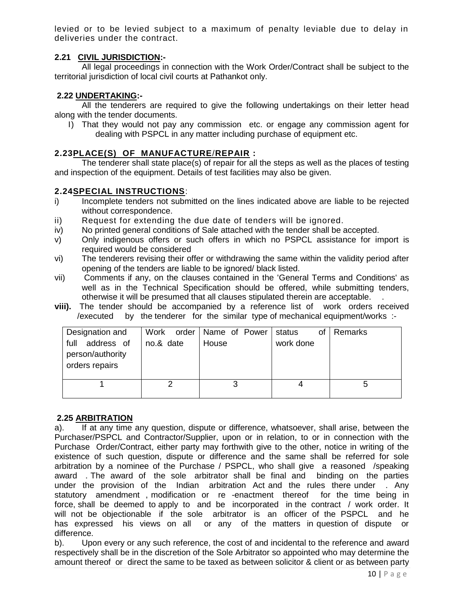levied or to be levied subject to a maximum of penalty leviable due to delay in deliveries under the contract.

### **2.21 CIVIL JURISDICTION:-**

All legal proceedings in connection with the Work Order/Contract shall be subject to the territorial jurisdiction of local civil courts at Pathankot only.

### **2.22 UNDERTAKING:-**

All the tenderers are required to give the following undertakings on their letter head along with the tender documents.

I) That they would not pay any commission etc. or engage any commission agent for dealing with PSPCL in any matter including purchase of equipment etc.

### **2.23PLACE(S) OF MANUFACTURE**/**REPAIR :**

The tenderer shall state place(s) of repair for all the steps as well as the places of testing and inspection of the equipment. Details of test facilities may also be given.

#### **2.24SPECIAL INSTRUCTIONS**:

- i) Incomplete tenders not submitted on the lines indicated above are liable to be rejected without correspondence.
- ii) Request for extending the due date of tenders will be ignored.
- iv) No printed general conditions of Sale attached with the tender shall be accepted.
- v) Only indigenous offers or such offers in which no PSPCL assistance for import is required would be considered
- vi) The tenderers revising their offer or withdrawing the same within the validity period after opening of the tenders are liable to be ignored/ black listed.
- vii) Comments if any, on the clauses contained in the 'General Terms and Conditions' as well as in the Technical Specification should be offered, while submitting tenders, otherwise it will be presumed that all clauses stipulated therein are acceptable. .
- **viii).** The tender should be accompanied by a reference list of work orders received /executed by the tenderer for the similar type of mechanical equipment/works :-

| Designation and<br>full<br>address of<br>person/authority<br>orders repairs | Work<br>no.& date | order   Name of Power<br>House | status<br>οf<br>work done | ∣ Remarks |
|-----------------------------------------------------------------------------|-------------------|--------------------------------|---------------------------|-----------|
|                                                                             |                   |                                |                           | G         |

### **2.25 ARBITRATION**

a). If at any time any question, dispute or difference, whatsoever, shall arise, between the Purchaser/PSPCL and Contractor/Supplier, upon or in relation, to or in connection with the Purchase Order/Contract, either party may forthwith give to the other, notice in writing of the existence of such question, dispute or difference and the same shall be referred for sole arbitration by a nominee of the Purchase / PSPCL, who shall give a reasoned /speaking award . The award of the sole arbitrator shall be final and binding on the parties under the provision of the Indian arbitration Act and the rules there under . Any statutory amendment , modification or re -enactment thereof for the time being in force, shall be deemed to apply to and be incorporated in the contract / work order. It will not be objectionable if the sole arbitrator is an officer of the PSPCL and he has expressed his views on all or any of the matters in question of dispute or difference.

b). Upon every or any such reference, the cost of and incidental to the reference and award respectively shall be in the discretion of the Sole Arbitrator so appointed who may determine the amount thereof or direct the same to be taxed as between solicitor & client or as between party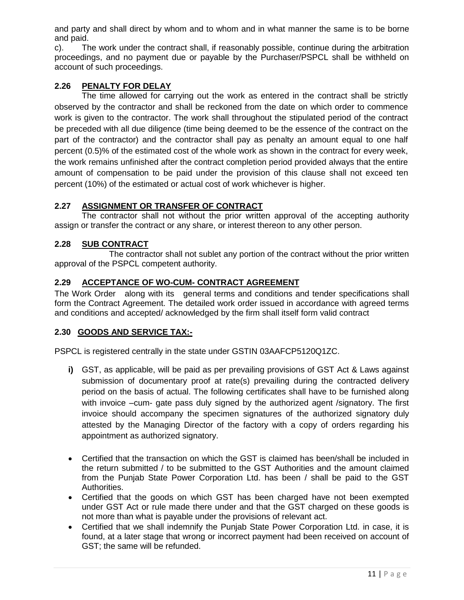and party and shall direct by whom and to whom and in what manner the same is to be borne and paid.

c). The work under the contract shall, if reasonably possible, continue during the arbitration proceedings, and no payment due or payable by the Purchaser/PSPCL shall be withheld on account of such proceedings.

### **2.26 PENALTY FOR DELAY**

The time allowed for carrying out the work as entered in the contract shall be strictly observed by the contractor and shall be reckoned from the date on which order to commence work is given to the contractor. The work shall throughout the stipulated period of the contract be preceded with all due diligence (time being deemed to be the essence of the contract on the part of the contractor) and the contractor shall pay as penalty an amount equal to one half percent (0.5)% of the estimated cost of the whole work as shown in the contract for every week, the work remains unfinished after the contract completion period provided always that the entire amount of compensation to be paid under the provision of this clause shall not exceed ten percent (10%) of the estimated or actual cost of work whichever is higher.

## **2.27 ASSIGNMENT OR TRANSFER OF CONTRACT**

The contractor shall not without the prior written approval of the accepting authority assign or transfer the contract or any share, or interest thereon to any other person.

## **2.28 SUB CONTRACT**

The contractor shall not sublet any portion of the contract without the prior written approval of the PSPCL competent authority.

## **2.29 ACCEPTANCE OF WO-CUM- CONTRACT AGREEMENT**

The Work Order along with its general terms and conditions and tender specifications shall form the Contract Agreement. The detailed work order issued in accordance with agreed terms and conditions and accepted/ acknowledged by the firm shall itself form valid contract

### **2.30 GOODS AND SERVICE TAX:-**

PSPCL is registered centrally in the state under GSTIN 03AAFCP5120Q1ZC.

- **i)** GST, as applicable, will be paid as per prevailing provisions of GST Act & Laws against submission of documentary proof at rate(s) prevailing during the contracted delivery period on the basis of actual. The following certificates shall have to be furnished along with invoice –cum- gate pass duly signed by the authorized agent /signatory. The first invoice should accompany the specimen signatures of the authorized signatory duly attested by the Managing Director of the factory with a copy of orders regarding his appointment as authorized signatory.
- Certified that the transaction on which the GST is claimed has been/shall be included in the return submitted / to be submitted to the GST Authorities and the amount claimed from the Punjab State Power Corporation Ltd. has been / shall be paid to the GST Authorities.
- Certified that the goods on which GST has been charged have not been exempted under GST Act or rule made there under and that the GST charged on these goods is not more than what is payable under the provisions of relevant act.
- Certified that we shall indemnify the Punjab State Power Corporation Ltd. in case, it is found, at a later stage that wrong or incorrect payment had been received on account of GST; the same will be refunded.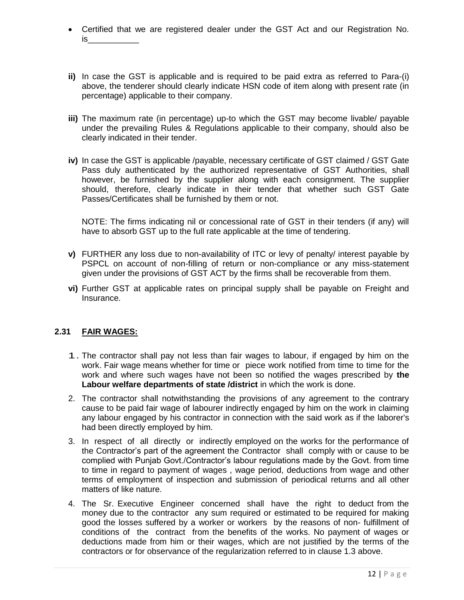- Certified that we are registered dealer under the GST Act and our Registration No.  $is$
- **ii)** In case the GST is applicable and is required to be paid extra as referred to Para-(i) above, the tenderer should clearly indicate HSN code of item along with present rate (in percentage) applicable to their company.
- **iii)** The maximum rate (in percentage) up-to which the GST may become livable/ payable under the prevailing Rules & Regulations applicable to their company, should also be clearly indicated in their tender.
- **iv)** In case the GST is applicable /payable, necessary certificate of GST claimed / GST Gate Pass duly authenticated by the authorized representative of GST Authorities, shall however, be furnished by the supplier along with each consignment. The supplier should, therefore, clearly indicate in their tender that whether such GST Gate Passes/Certificates shall be furnished by them or not.

NOTE: The firms indicating nil or concessional rate of GST in their tenders (if any) will have to absorb GST up to the full rate applicable at the time of tendering.

- **v)** FURTHER any loss due to non-availability of ITC or levy of penalty/ interest payable by PSPCL on account of non-filling of return or non-compliance or any miss-statement given under the provisions of GST ACT by the firms shall be recoverable from them.
- **vi)** Further GST at applicable rates on principal supply shall be payable on Freight and Insurance.

### **2.31 FAIR WAGES:**

- 1. The contractor shall pay not less than fair wages to labour, if engaged by him on the work. Fair wage means whether for time or piece work notified from time to time for the work and where such wages have not been so notified the wages prescribed by **the Labour welfare departments of state /district** in which the work is done.
- 2. The contractor shall notwithstanding the provisions of any agreement to the contrary cause to be paid fair wage of labourer indirectly engaged by him on the work in claiming any labour engaged by his contractor in connection with the said work as if the laborer's had been directly employed by him.
- 3. In respect of all directly or indirectly employed on the works for the performance of the Contractor's part of the agreement the Contractor shall comply with or cause to be complied with Punjab Govt./Contractor's labour regulations made by the Govt. from time to time in regard to payment of wages , wage period, deductions from wage and other terms of employment of inspection and submission of periodical returns and all other matters of like nature.
- 4. The Sr. Executive Engineer concerned shall have the right to deduct from the money due to the contractor any sum required or estimated to be required for making good the losses suffered by a worker or workers by the reasons of non- fulfillment of conditions of the contract from the benefits of the works. No payment of wages or deductions made from him or their wages, which are not justified by the terms of the contractors or for observance of the regularization referred to in clause 1.3 above.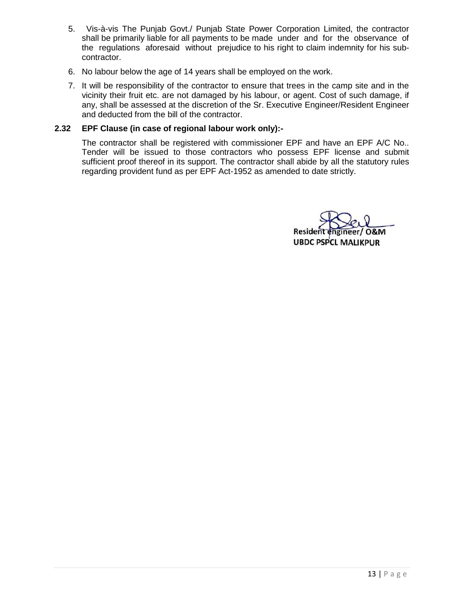- 5. Vis-à-vis The Punjab Govt./ Punjab State Power Corporation Limited, the contractor shall be primarily liable for all payments to be made under and for the observance of the regulations aforesaid without prejudice to his right to claim indemnity for his subcontractor.
- 6. No labour below the age of 14 years shall be employed on the work.
- 7. It will be responsibility of the contractor to ensure that trees in the camp site and in the vicinity their fruit etc. are not damaged by his labour, or agent. Cost of such damage, if any, shall be assessed at the discretion of the Sr. Executive Engineer/Resident Engineer and deducted from the bill of the contractor.

#### **2.32 EPF Clause (in case of regional labour work only):-**

The contractor shall be registered with commissioner EPF and have an EPF A/C No.. Tender will be issued to those contractors who possess EPF license and submit sufficient proof thereof in its support. The contractor shall abide by all the statutory rules regarding provident fund as per EPF Act-1952 as amended to date strictly.

Residei **UBDC PSPCL MALIKPUR**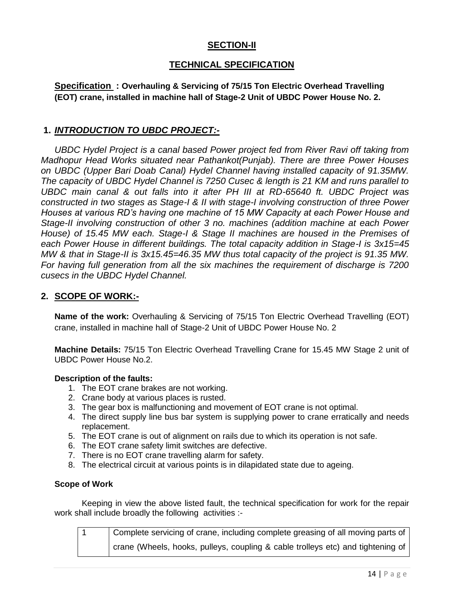## **SECTION-II**

## **TECHNICAL SPECIFICATION**

**Specification : Overhauling & Servicing of 75/15 Ton Electric Overhead Travelling (EOT) crane, installed in machine hall of Stage-2 Unit of UBDC Power House No. 2.**

## **1.** *INTRODUCTION TO UBDC PROJECT:-*

*UBDC Hydel Project is a canal based Power project fed from River Ravi off taking from Madhopur Head Works situated near Pathankot(Punjab). There are three Power Houses on UBDC (Upper Bari Doab Canal) Hydel Channel having installed capacity of 91.35MW. The capacity of UBDC Hydel Channel is 7250 Cusec & length is 21 KM and runs parallel to UBDC main canal & out falls into it after PH III at RD-65640 ft. UBDC Project was constructed in two stages as Stage-I & II with stage-I involving construction of three Power Houses at various RD's having one machine of 15 MW Capacity at each Power House and Stage-II involving construction of other 3 no. machines (addition machine at each Power House) of 15.45 MW each. Stage-I & Stage II machines are housed in the Premises of*  each Power House in different buildings. The total capacity addition in Stage-I is  $3x15=45$ *MW & that in Stage-II is 3x15.45=46.35 MW thus total capacity of the project is 91.35 MW. For having full generation from all the six machines the requirement of discharge is 7200 cusecs in the UBDC Hydel Channel.*

## **2. SCOPE OF WORK:-**

**Name of the work:** Overhauling & Servicing of 75/15 Ton Electric Overhead Travelling (EOT) crane, installed in machine hall of Stage-2 Unit of UBDC Power House No. 2

**Machine Details:** 75/15 Ton Electric Overhead Travelling Crane for 15.45 MW Stage 2 unit of UBDC Power House No.2.

#### **Description of the faults:**

- 1. The EOT crane brakes are not working.
- 2. Crane body at various places is rusted.
- 3. The gear box is malfunctioning and movement of EOT crane is not optimal.
- 4. The direct supply line bus bar system is supplying power to crane erratically and needs replacement.
- 5. The EOT crane is out of alignment on rails due to which its operation is not safe.
- 6. The EOT crane safety limit switches are defective.
- 7. There is no EOT crane travelling alarm for safety.
- 8. The electrical circuit at various points is in dilapidated state due to ageing.

#### **Scope of Work**

Keeping in view the above listed fault, the technical specification for work for the repair work shall include broadly the following activities :-

1 Complete servicing of crane, including complete greasing of all moving parts of crane (Wheels, hooks, pulleys, coupling & cable trolleys etc) and tightening of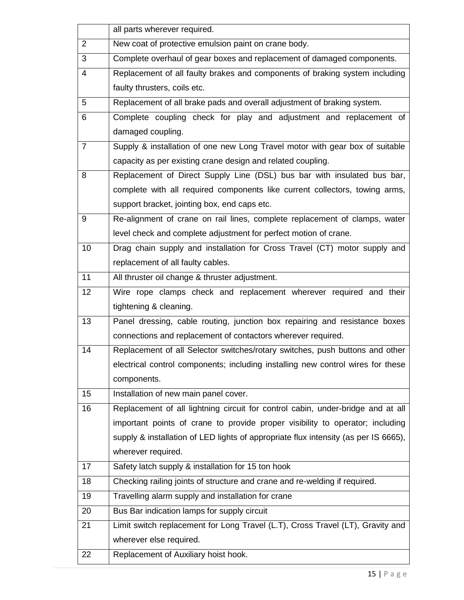|                | all parts wherever required.                                                        |
|----------------|-------------------------------------------------------------------------------------|
| 2              | New coat of protective emulsion paint on crane body.                                |
| 3              | Complete overhaul of gear boxes and replacement of damaged components.              |
| $\overline{4}$ | Replacement of all faulty brakes and components of braking system including         |
|                | faulty thrusters, coils etc.                                                        |
| 5              | Replacement of all brake pads and overall adjustment of braking system.             |
| 6              | Complete coupling check for play and adjustment and replacement of                  |
|                | damaged coupling.                                                                   |
| $\overline{7}$ | Supply & installation of one new Long Travel motor with gear box of suitable        |
|                | capacity as per existing crane design and related coupling.                         |
| 8              | Replacement of Direct Supply Line (DSL) bus bar with insulated bus bar,             |
|                | complete with all required components like current collectors, towing arms,         |
|                | support bracket, jointing box, end caps etc.                                        |
| 9              | Re-alignment of crane on rail lines, complete replacement of clamps, water          |
|                | level check and complete adjustment for perfect motion of crane.                    |
| 10             | Drag chain supply and installation for Cross Travel (CT) motor supply and           |
|                | replacement of all faulty cables.                                                   |
| 11             | All thruster oil change & thruster adjustment.                                      |
| 12             | Wire rope clamps check and replacement wherever required and their                  |
|                | tightening & cleaning.                                                              |
| 13             | Panel dressing, cable routing, junction box repairing and resistance boxes          |
|                | connections and replacement of contactors wherever required.                        |
| 14             | Replacement of all Selector switches/rotary switches, push buttons and other        |
|                | electrical control components; including installing new control wires for these     |
|                | components.                                                                         |
| 15             | Installation of new main panel cover.                                               |
| 16             | Replacement of all lightning circuit for control cabin, under-bridge and at all     |
|                | important points of crane to provide proper visibility to operator; including       |
|                | supply & installation of LED lights of appropriate flux intensity (as per IS 6665), |
|                | wherever required.                                                                  |
| 17             | Safety latch supply & installation for 15 ton hook                                  |
| 18             | Checking railing joints of structure and crane and re-welding if required.          |
| 19             | Travelling alarm supply and installation for crane                                  |
| 20             | Bus Bar indication lamps for supply circuit                                         |
| 21             | Limit switch replacement for Long Travel (L.T), Cross Travel (LT), Gravity and      |
|                | wherever else required.                                                             |
| 22             | Replacement of Auxiliary hoist hook.                                                |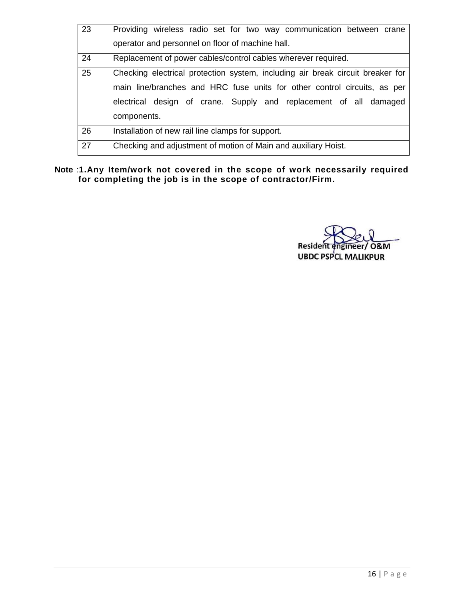| 23 | Providing wireless radio set for two way communication between crane           |  |  |  |  |  |  |
|----|--------------------------------------------------------------------------------|--|--|--|--|--|--|
|    | operator and personnel on floor of machine hall.                               |  |  |  |  |  |  |
| 24 | Replacement of power cables/control cables wherever required.                  |  |  |  |  |  |  |
| 25 | Checking electrical protection system, including air break circuit breaker for |  |  |  |  |  |  |
|    | main line/branches and HRC fuse units for other control circuits, as per       |  |  |  |  |  |  |
|    | electrical design of crane. Supply and replacement of all damaged              |  |  |  |  |  |  |
|    | components.                                                                    |  |  |  |  |  |  |
| 26 | Installation of new rail line clamps for support.                              |  |  |  |  |  |  |
| 27 | Checking and adjustment of motion of Main and auxiliary Hoist.                 |  |  |  |  |  |  |

**Note** :**1.Any Item/work not covered in the scope of work necessarily required for completing the job is in the scope of contractor/Firm.**

Resident ineer/ O&M **UBDC PSPCL MALIKPUR**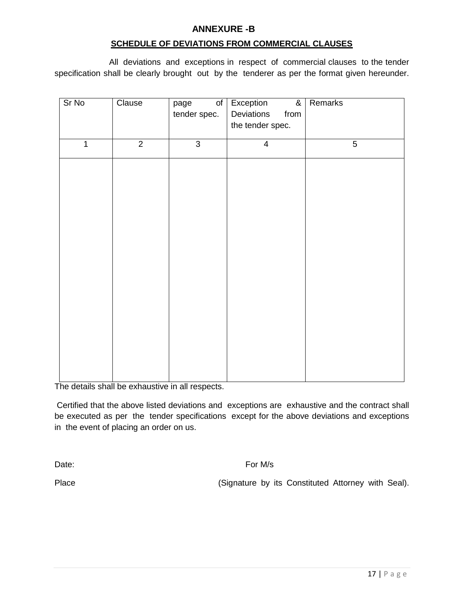### **ANNEXURE -B**

### **SCHEDULE OF DEVIATIONS FROM COMMERCIAL CLAUSES**

All deviations and exceptions in respect of commercial clauses to the tender specification shall be clearly brought out by the tenderer as per the format given hereunder.

| Sr No          | Clause         | of<br>page     | Exception<br>$\overline{\mathbf{g}}$ | Remarks        |
|----------------|----------------|----------------|--------------------------------------|----------------|
|                |                | tender spec.   | Deviations<br>from                   |                |
|                |                |                | the tender spec.                     |                |
|                |                |                |                                      |                |
| $\overline{1}$ | $\overline{2}$ | $\overline{3}$ | $\overline{4}$                       | $\overline{5}$ |
|                |                |                |                                      |                |
|                |                |                |                                      |                |
|                |                |                |                                      |                |
|                |                |                |                                      |                |
|                |                |                |                                      |                |
|                |                |                |                                      |                |
|                |                |                |                                      |                |
|                |                |                |                                      |                |
|                |                |                |                                      |                |
|                |                |                |                                      |                |
|                |                |                |                                      |                |
|                |                |                |                                      |                |
|                |                |                |                                      |                |
|                |                |                |                                      |                |
|                |                |                |                                      |                |
|                |                |                |                                      |                |

The details shall be exhaustive in all respects.

Certified that the above listed deviations and exceptions are exhaustive and the contract shall be executed as per the tender specifications except for the above deviations and exceptions in the event of placing an order on us.

Date: For M/s

Place **Example 20 Figure 12 Constituted Attorney with Seal).** (Signature by its Constituted Attorney with Seal).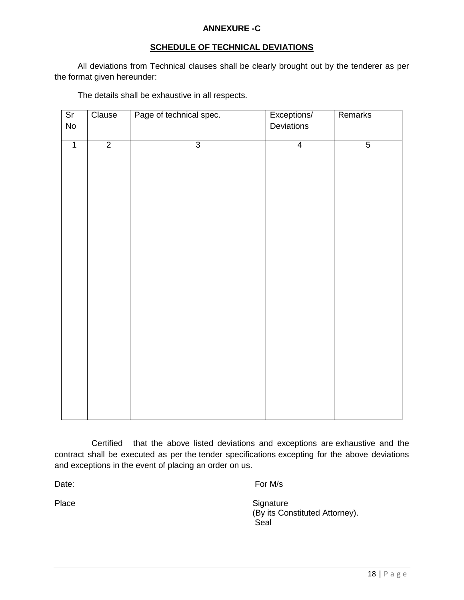### **ANNEXURE -C**

## **SCHEDULE OF TECHNICAL DEVIATIONS**

 All deviations from Technical clauses shall be clearly brought out by the tenderer as per the format given hereunder:

| $\overline{\text{Sr}}$<br>${\sf No}$ | Clause         | Page of technical spec. | Exceptions/<br>Deviations | Remarks        |
|--------------------------------------|----------------|-------------------------|---------------------------|----------------|
| $\overline{1}$                       | $\overline{2}$ | $\overline{3}$          | $\overline{4}$            | $\overline{5}$ |
|                                      |                |                         |                           |                |
|                                      |                |                         |                           |                |
|                                      |                |                         |                           |                |
|                                      |                |                         |                           |                |
|                                      |                |                         |                           |                |
|                                      |                |                         |                           |                |
|                                      |                |                         |                           |                |
|                                      |                |                         |                           |                |
|                                      |                |                         |                           |                |
|                                      |                |                         |                           |                |
|                                      |                |                         |                           |                |
|                                      |                |                         |                           |                |
|                                      |                |                         |                           |                |
|                                      |                |                         |                           |                |
|                                      |                |                         |                           |                |
|                                      |                |                         |                           |                |

The details shall be exhaustive in all respects.

 Certified that the above listed deviations and exceptions are exhaustive and the contract shall be executed as per the tender specifications excepting for the above deviations and exceptions in the event of placing an order on us.

Date: For M/s

Place Signature Signature (By its Constituted Attorney). **Seal**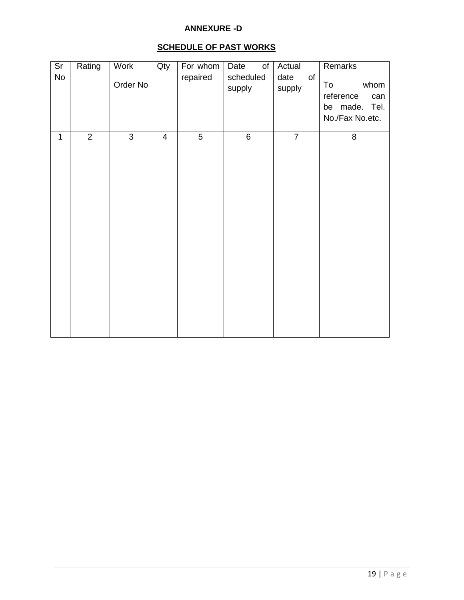### **ANNEXURE -D**

# **SCHEDULE OF PAST WORKS**

| $\overline{\text{Sr}}$<br>No | Rating         | Work<br>Order No | Qty                     | For whom<br>repaired | Date<br>$\circ$ f<br>scheduled<br>supply | Actual<br>of<br>date<br>supply | Remarks<br>To<br>whom<br>reference<br>can<br>be made. Tel.<br>No./Fax No.etc. |
|------------------------------|----------------|------------------|-------------------------|----------------------|------------------------------------------|--------------------------------|-------------------------------------------------------------------------------|
| $\mathbf 1$                  | $\overline{2}$ | $\overline{3}$   | $\overline{\mathbf{4}}$ | $\overline{5}$       | $\overline{6}$                           | $\overline{7}$                 | $\overline{8}$                                                                |
|                              |                |                  |                         |                      |                                          |                                |                                                                               |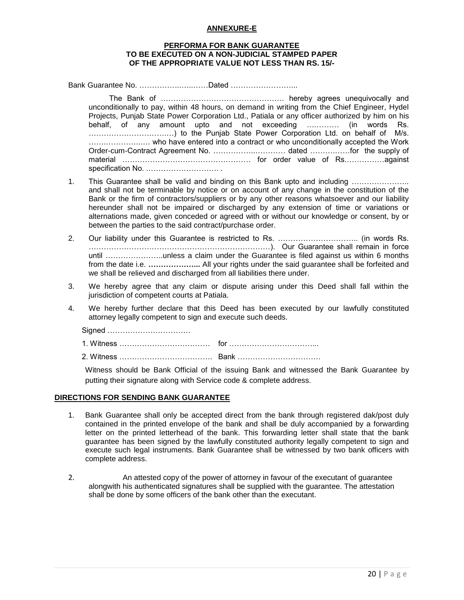#### **ANNEXURE-E**

#### **PERFORMA FOR BANK GUARANTEE TO BE EXECUTED ON A NON-JUDICIAL STAMPED PAPER OF THE APPROPRIATE VALUE NOT LESS THAN RS. 15/-**

Bank Guarantee No. ……………..…..……Dated ……………………...

The Bank of …………………………………………. hereby agrees unequivocally and unconditionally to pay, within 48 hours, on demand in writing from the Chief Engineer, Hydel Projects, Punjab State Power Corporation Ltd., Patiala or any officer authorized by him on his behalf, of any amount upto and not exceeding ….……… (in words Rs. ………………………….…) to the Punjab State Power Corporation Ltd. on behalf of M/s. …….…………..…. who have entered into a contract or who unconditionally accepted the Work Order-cum-Contract Agreement No. ……………..………… dated ……….……for the supply of material …………………………………………… for order value of Rs.……………against specification No. .………………………. .

- 1. This Guarantee shall be valid and binding on this Bank upto and including ………………….. and shall not be terminable by notice or on account of any change in the constitution of the Bank or the firm of contractors/suppliers or by any other reasons whatsoever and our liability hereunder shall not be impaired or discharged by any extension of time or variations or alternations made, given conceded or agreed with or without our knowledge or consent, by or between the parties to the said contract/purchase order.
- 2. Our liability under this Guarantee is restricted to Rs. ………………………….. (in words Rs. ………………………………………………………………). Our Guarantee shall remain in force until …………………..unless a claim under the Guarantee is filed against us within 6 months from the date i.e. **………………...** All your rights under the said guarantee shall be forfeited and we shall be relieved and discharged from all liabilities there under.
- 3. We hereby agree that any claim or dispute arising under this Deed shall fall within the jurisdiction of competent courts at Patiala.
- 4. We hereby further declare that this Deed has been executed by our lawfully constituted attorney legally competent to sign and execute such deeds.

Signed ……………………………

1. Witness ……………………………… for ……………………………...

2. Witness ………………………………. Bank ……………………………

Witness should be Bank Official of the issuing Bank and witnessed the Bank Guarantee by putting their signature along with Service code & complete address.

#### **DIRECTIONS FOR SENDING BANK GUARANTEE**

- 1. Bank Guarantee shall only be accepted direct from the bank through registered dak/post duly contained in the printed envelope of the bank and shall be duly accompanied by a forwarding letter on the printed letterhead of the bank. This forwarding letter shall state that the bank guarantee has been signed by the lawfully constituted authority legally competent to sign and execute such legal instruments. Bank Guarantee shall be witnessed by two bank officers with complete address.
- 2. An attested copy of the power of attorney in favour of the executant of guarantee alongwith his authenticated signatures shall be supplied with the guarantee. The attestation shall be done by some officers of the bank other than the executant.